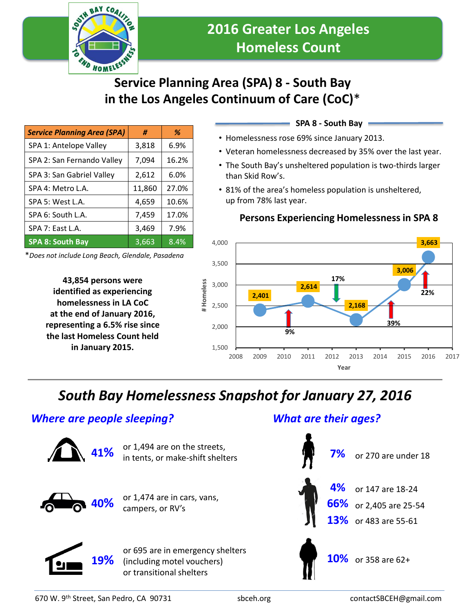

# **Service Planning Area (SPA) 8 - South Bay in the Los Angeles Continuum of Care (CoC)**\*

| <b>Service Planning Area (SPA)</b> | #      | %     |
|------------------------------------|--------|-------|
| SPA 1: Antelope Valley             | 3,818  | 6.9%  |
| SPA 2: San Fernando Valley         | 7,094  | 16.2% |
| SPA 3: San Gabriel Valley          | 2,612  | 6.0%  |
| SPA 4: Metro L.A.                  | 11,860 | 27.0% |
| SPA 5: West L.A.                   | 4,659  | 10.6% |
| SPA 6: South L.A.                  | 7,459  | 17.0% |
| SPA 7: East L.A.                   | 3,469  | 7.9%  |
| <b>SPA 8: South Bay</b>            | 3,663  | 8.4%  |

\**Does not include Long Beach, Glendale, Pasadena*

**43,854 persons were identified as experiencing homelessness in LA CoC at the end of January 2016, representing a 6.5% rise since the last Homeless Count held in January 2015.**

### **SPA 8 - South Bay**

- Homelessness rose 69% since January 2013.
- Veteran homelessness decreased by 35% over the last year.
- The South Bay's unsheltered population is two-thirds larger than Skid Row's.
- 81% of the area's homeless population is unsheltered, up from 78% last year.

### **Persons Experiencing Homelessness in SPA 8**



# *South Bay Homelessness Snapshot for January 27, 2016*

### *Where are people sleeping?*



or 1,494 are on the streets, **in tents, or make-shift shelters** 



or 1,474 are in cars, vans, campers, or RV's **40%**

or 695 are in emergency shelters (including motel vouchers) or transitional shelters

## *What are their ages?*



**19%**